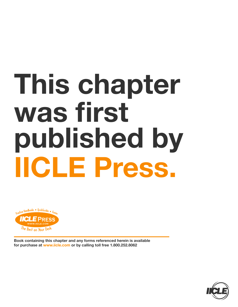# **This chapter was first published by IICLE Press.**



**Book containing this chapter and any forms referenced herein is available for purchase a[t www.iicle.com o](https://www.iicle.com/booksandproducts/default.aspx?new=new)r by calling toll free 1.800.252.8062**

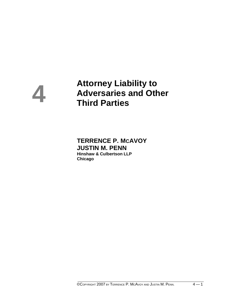# **Attorney Liability to Adversaries and Other Third Parties 4**

**TERRENCE P. MCAVOY JUSTIN M. PENN Hinshaw & Culbertson LLP Chicago**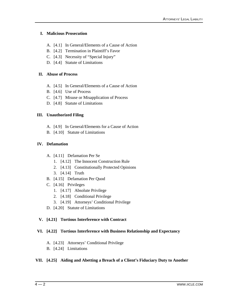#### **I. Malicious Prosecution**

- A. [4.1] In General/Elements of a Cause of Action
- B. [4.2] Termination in Plaintiff's Favor
- C. [4.3] Necessity of "Special Injury"
- D. [4.4] Statute of Limitations

#### **II. Abuse of Process**

- A. [4.5] In General/Elements of a Cause of Action
- B. [4.6] Use of Process
- C. [4.7] Misuse or Misapplication of Process
- D. [4.8] Statute of Limitations

#### **III. Unauthorized Filing**

- A. [4.9] In General/Elements for a Cause of Action
- B. [4.10] Statute of Limitations

# **IV. Defamation**

- A. [4.11] Defamation Per Se
	- 1. [4.12] The Innocent Construction Rule
	- 2. [4.13] Constitutionally Protected Opinions
	- 3. [4.14] Truth
- B. [4.15] Defamation Per Quod
- C. [4.16] Privileges
	- 1. [4.17] Absolute Privilege
	- 2. [4.18] Conditional Privilege
	- 3. [4.19] Attorneys' Conditional Privilege
- D. [4.20] Statute of Limitations

# **V. [4.21] Tortious Interference with Contract**

# **VI. [4.22] Tortious Interference with Business Relationship and Expectancy**

- A. [4.23] Attorneys' Conditional Privilege
- B. [4.24] Limitations

# **VII. [4.25] Aiding and Abetting a Breach of a Client's Fiduciary Duty to Another**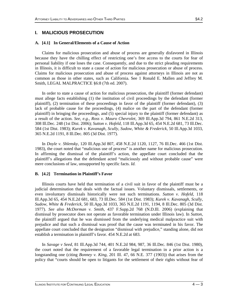# **I. MALICIOUS PROSECUTION**

#### **A. [4.1] In General/Elements of a Cause of Action**

Claims for malicious prosecution and abuse of process are generally disfavored in Illinois because they have the chilling effect of restricting one's free access to the courts for fear of personal liability if one loses the case. Consequently, and due to the strict pleading requirements in Illinois, it is difficult to state a cause of action for malicious prosecution or abuse of process. Claims for malicious prosecution and abuse of process against attorneys in Illinois are not as common as those in other states, such as California. See 1 Ronald E. Mallen and Jeffrey M. Smith, LEGAL MALPRACTICE §6:8 (7th ed. 2007).

In order to state a cause of action for malicious prosecution, the plaintiff (former defendant) must allege facts establishing (1) the institution of civil proceedings by the defendant (former plaintiff), (2) termination of these proceedings in favor of the plaintiff (former defendant), (3) lack of probable cause for the proceedings, (4) malice on the part of the defendant (former plaintiff) in bringing the proceedings, and (5) special injury to the plaintiff (former defendant) as a result of the action. *See, e.g., Ross v. Mauro Chevrolet,* 369 Ill.App.3d 794, 861 N.E.2d 313, 308 Ill.Dec. 248 (1st Dist. 2006); *Sutton v. Hofeld,* 118 Ill.App.3d 65, 454 N.E.2d 681, 73 Ill.Dec. 584 (1st Dist. 1983); *Kurek v. Kavanagh, Scully, Sudow, White & Frederick,* 50 Ill.App.3d 1033, 365 N.E.2d 1191, 8 Ill.Dec. 805 (3d Dist. 1977).

In *Doyle v. Shlensky,* 120 Ill.App.3d 807, 458 N.E.2d 1120, 1127, 76 Ill.Dec. 466 (1st Dist. 1983), the court noted that "malicious use of process" is another name for malicious prosecution. In affirming the dismissal of the plaintiff's action, the appellate court concluded that the plaintiff's allegations that the defendant acted "maliciously and without probable cause" were mere conclusions of law, unsupported by specific facts. *Id.*

#### **B. [4.2] Termination in Plaintiff's Favor**

Illinois courts have held that termination of a civil suit in favor of the plaintiff must be a judicial determination that deals with the factual issues. Voluntary dismissals, settlements, or even involuntary dismissals historically were not such terminations. *Sutton v. Hofeld,* 118 Ill.App.3d 65, 454 N.E.2d 681, 683, 73 Ill.Dec. 584 (1st Dist. 1983); *Kurek v. Kavanagh, Scully, Sudow, White & Frederick,* 50 Ill.App.3d 1033, 365 N.E.2d 1191, 1194, 8 Ill.Dec. 805 (3d Dist. 1977). *See also McDorman v. Smith,* 437 F.Supp.2d 768 (N.D.Ill. 2006) (explaining that dismissal by prosecutor does not operate as favorable termination under Illinois law). In *Sutton,*  the plaintiff argued that he was dismissed from the underlying medical malpractice suit with prejudice and that such a dismissal was proof that the cause was terminated in his favor. The appellate court concluded that the designation "dismissal with prejudice," standing alone, did not establish a termination in plaintiff's favor. 454 N.E.2d at 683.

In *Savage v Seed,* 81 Ill.App.3d 744, 401 N.E.2d 984, 987, 36 Ill.Dec. 846 (1st Dist. 1980), the court noted that the requirement of a favorable legal termination in a prior action is a longstanding one (citing *Bonney v. King,* 201 Ill. 47, 66 N.E. 377 (1903)) that arises from the policy that "courts should be open to litigants for the settlement of their rights without fear of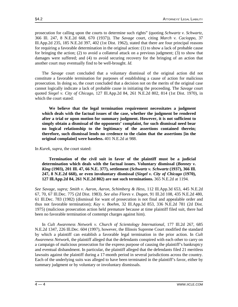prosecution for calling upon the courts to determine such rights" (quoting *Schwartz v. Schwartz,* 366 Ill. 247, 8 N.E.2d 668, 670 (1937)). The *Savage* court, citing *March v. Cacioppo,* 37 Ill.App.2d 235, 185 N.E.2d 397, 402 (1st Dist. 1962), stated that there are four principal reasons for requiring a favorable determination in the original action: (1) to show a lack of probable cause for bringing the action; (2) to avoid a collateral attack on a previous judgment; (3) to show that damages were suffered; and (4) to avoid securing recovery for the bringing of an action that another court may eventually find to be well-brought. *Id.*

The *Savage* court concluded that a voluntary dismissal of the original action did not constitute a favorable termination for purposes of establishing a cause of action for malicious prosecution. In doing so, the court concluded that a decision not on the merits of the original case cannot logically indicate a lack of probable cause in initiating the proceeding. The *Savage* court quoted *Siegel v. City of Chicago,* 127 Ill.App.2d 84, 261 N.E.2d 802, 814 (1st Dist. 1970), in which the court stated:

**We believe that the legal termination requirement necessitates a judgment which deals with the factual issues of the case, whether the judgment be rendered after a trial or upon motion for summary judgment. However, it is not sufficient to simply obtain a dismissal of the opponents' complaint, for such dismissal need bear no logical relationship to the legitimacy of the assertions contained therein; therefore, such dismissal lends no credence to the claim that the assertions [in the original complaint] were baseless.** 401 N.E.2d at 988.

In *Kurek, supra,* the court stated:

**Termination of the civil suit in favor of the plaintiff must be a judicial determination which deals with the factual issues. Voluntary dismissal (***Bonney v. King* **(1903), 201 Ill. 47, 66 N.E. 377), settlement (***Schwartz v. Schwartz* **(1937), 366 Ill. 247, 8 N.E.2d 668), or even involuntary dismissal (***Siegel v. City of Chicago* **(1970), 127 Ill.App.2d 84, 261 N.E.2d 802) are not such terminations.** 365 N.E.2d at 1194.

*See Savage, supra; Smith v. Aaron, Aaron, Schimberg & Hess,* 112 Ill.App.3d 653, 445 N.E.2d 67, 70, 67 Ill.Dec. 775 (2d Dist. 1983). *See also Flores v. Dugan,* 91 Ill.2d 108, 435 N.E.2d 480, 61 Ill.Dec. 783 (1982) (dismissal for want of prosecution is not final and appealable order and thus not favorable termination); *Kay v. Boehm,* 32 Ill.App.3d 853, 336 N.E.2d 781 (2d Dist. 1975) (malicious prosecution action held premature because at time plaintiff filed suit, there had been no favorable termination of contempt charges against him).

In *Cult Awareness Network v. Church of Scientology International,* 177 Ill.2d 267, 685 N.E.2d 1347, 226 Ill.Dec. 604 (1997), however, the Illinois Supreme Court modified the standard by which a plaintiff can establish a favorable legal termination in the prior action. In *Cult Awareness Network,* the plaintiff alleged that the defendants conspired with each other to carry on a campaign of malicious prosecution for the express purpose of causing the plaintiff's bankruptcy and eventual disbandment. In particular, the plaintiff alleged that the defendants filed 21 meritless lawsuits against the plaintiff during a 17-month period in several jurisdictions across the country. Each of the underlying suits was alleged to have been terminated in the plaintiff's favor, either by summary judgment or by voluntary or involuntary dismissals.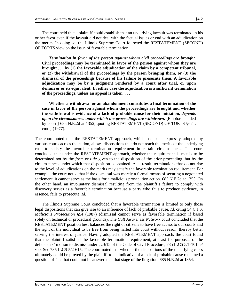The court held that a plaintiff could establish that an underlying lawsuit was terminated in his or her favor even if the lawsuit did not deal with the factual issues or end with an adjudication on the merits. In doing so, the Illinois Supreme Court followed the RESTATEMENT (SECOND) OF TORTS view on the issue of favorable termination:

*Termination in favor of the person against whom civil proceedings are brought.*  **Civil proceedings may be terminated in favor of the person against whom they are brought . . . by (1) the favorable adjudication of the claim by a competent tribunal, or (2) the withdrawal of the proceedings by the person bringing them, or (3) the dismissal of the proceedings because of his failure to prosecute them. A favorable adjudication may be by a judgment rendered by a court after trial, or upon demurrer or its equivalent. In either case the adjudication is a sufficient termination of the proceedings, unless an appeal is taken. . . .**

**Whether a withdrawal or an abandonment constitutes a final termination of the case in favor of the person against whom the proceedings are brought and whether the withdrawal is evidence of a lack of probable cause for their initiation,** *depends upon the circumstances under which the proceedings are withdrawn.* **[**Emphasis added by court.**]** 685 N.E.2d at 1352, quoting RESTATEMENT (SECOND) OF TORTS §674, cmt. j (1977).

The court noted that the RESTATEMENT approach, which has been expressly adopted by various courts across the nation, allows dispositions that do not reach the merits of the underlying case to satisfy the favorable termination requirement in certain circumstances. The court concluded that under the RESTATEMENT approach, whether the requirement is met is to be determined not by the *form* or *title* given to the disposition of the prior proceeding, but by the circumstances under which that disposition is obtained. As a result, terminations that do not rise to the level of adjudications on the merits may satisfy the favorable termination requirement. For example, the court noted that if the dismissal was merely a formal means of securing a negotiated settlement, it cannot serve as the basis for a malicious prosecution action. 685 N.E.2d at 1353. On the other hand, an involuntary dismissal resulting from the plaintiff's failure to comply with discovery serves as a favorable termination because a party who fails to produce evidence, in essence, fails to prosecute. *Id.*

The Illinois Supreme Court concluded that a favorable termination is limited to only those legal dispositions that can give rise to an inference of lack of probable cause. *Id.* citing 54 C.J.S. *Malicious Prosecution* §54 (1987) (dismissal cannot serve as favorable termination if based solely on technical or procedural grounds). The *Cult Awareness Network* court concluded that the RESTATEMENT position best balances the right of citizens to have free access to our courts and the right of the individual to be free from being hailed into court without reason, thereby better serving the interest of justice. Having adopted the RESTATEMENT approach, the court found that the plaintiff satisfied the favorable termination requirement, at least for purposes of the defendants' motion to dismiss under §2-615 of the Code of Civil Procedure, 735 ILCS 5/1-101, *et seq.* See 735 ILCS 5/2-615. The court noted that whether the dispositions of the underlying cases ultimately could be proved by the plaintiff to be indicative of a lack of probable cause remained a question of fact that could not be answered at that stage of the litigation. 685 N.E.2d at 1354.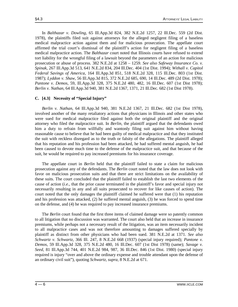In *Balthazar v. Dowling,* 65 Ill.App.3d 824, 382 N.E.2d 1257, 22 Ill.Dec. 559 (2d Dist. 1978), the plaintiffs filed suit against attorneys for the alleged negligent filing of a baseless medical malpractice action against them and for malicious prosecution. The appellate court affirmed the trial court's dismissal of the plaintiff's action for negligent filing of a baseless medical malpractice action. The *Balthazar* court noted that Illinois courts have refused to extend tort liability for the wrongful filing of a lawsuit beyond the parameters of an action for malicious prosecution or abuse of process. 382 N.E.2d at 1258 – 1259. *See also Safeway Insurance Co. v. Spinak,* 267 Ill.App.3d 513, 641 N.E.2d 834, 204 Ill.Dec. 404 (1st Dist. 1994); *Withall v. Capitol Federal Savings of America,* 164 Ill.App.3d 851, 518 N.E.2d 328, 115 Ill.Dec. 803 (1st Dist. 1987); *Lyddon v. Shaw,* 56 Ill.App.3d 815, 372 N.E.2d 685, 690, 14 Ill.Dec. 489 (2d Dist. 1978); *Pantone v. Demos,* 59, Ill.App.3d 328, 375 N.E.2d 480, 482, 16 Ill.Dec. 607 (1st Dist 1978); *Berlin v. Nathan,* 64 Ill.App.3d 940, 381 N.E.2d 1367, 1371, 21 Ill.Dec. 682 (1st Dist 1978).

#### **C. [4.3] Necessity of "Special Injury"**

*Berlin v. Nathan,* 64 Ill.App.3d 940, 381 N.E.2d 1367, 21 Ill.Dec. 682 (1st Dist 1978), involved another of the many retaliatory actions that physicians in Illinois and other states who were sued for medical malpractice filed against both the original plaintiff and the original attorney who filed the malpractice suit. In *Berlin,* the plaintiff argued that the defendants owed him a duty to refrain from willfully and wantonly filing suit against him without having reasonable cause to believe that he had been guilty of medical malpractice and that they instituted the suit with reckless disregard as to the truth or falsity of the allegations. The plaintiff alleged that his reputation and his profession had been attacked, he had suffered mental anguish, he had been caused to devote much time to the defense of the malpractice suit, and that because of the suit, he would be required to pay increased premiums for his insurance coverage.

The appellate court in *Berlin* held that the plaintiff failed to state a claim for malicious prosecution against any of the defendants. The *Berlin* court noted that the law does not look with favor on malicious prosecution suits and that there are strict limitations on the availability of these suits. The court concluded that the plaintiff failed to establish the last two elements of the cause of action (*i.e.,* that the prior cause terminated in the plaintiff's favor and special injury not necessarily resulting in any and all suits prosecuted to recover for like causes of action). The court noted that the only damages the plaintiff claimed he suffered were that (1) his reputation and his profession was attacked, (2) he suffered mental anguish, (3) he was forced to spend time on the defense, and (4) he was required to pay increased insurance premiums.

The *Berlin* court found that the first three items of claimed damage were so patently common to all litigation that no discussion was warranted. The court also held that an increase in insurance premiums, while perhaps not a necessary result of the litigation, was an item necessarily incident to all malpractice cases and was not therefore amounting to damages suffered specially by plaintiff as distinct from other physicians who had been sued. 381 N.E.2d at 1371. *See also Schwartz v. Schwartz,* 366 Ill. 247, 8 N.E.2d 668 (1937) (special injury required); *Pantone v. Demos,* 59 Ill.App.3d 328, 375 N.E.2d 480, 16 Ill.Dec. 607 (1st Dist 1978) (same); *Savage v. Seed,* 81 Ill.App.3d 744, 401 N.E.2d 984, 987, 36 Ill.Dec. 846 (1st Dist. 1980) (special injury required is injury "over and above the ordinary expense and trouble attendant upon the defense of an ordinary civil suit"), quoting *Schwartz, supra,* 8 N.E.2d at 671.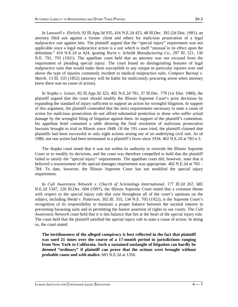In *Lasswell v. Ehrlich,* 92 Ill.App.3d 935, 416 N.E.2d 423, 48 Ill.Dec. 392 (2d Dist. 1981), an attorney filed suit against a former client and others for malicious prosecution of a legal malpractice suit against him. The plaintiff argued that the "special injury" requirement was not applicable since a legal malpractice action is a suit which is itself "unusual in its effect upon the defendant." 416 N.E.2d at 424, quoting *Norin v. Scheldt Manufacturing Co.,* 297 Ill. 521, 130 N.E. 791, 793 (1921). The appellate court held that an attorney was not excused from the requirement of pleading special injury. The court found no distinguishing features of legal malpractice suits that would make them susceptible to any unique or particular injuries over and above the type of injuries commonly incident to medical malpractice suits. *Compare Burnap v. Marsh,* 13 Ill. 535 (1852) (attorney will be liable for maliciously procuring arrest when attorney knew there was no cause of action).

In *Stopka v. Lesser,* 82 Ill.App.3d 323, 402 N.E.2d 781, 37 Ill.Dec. 779 (1st Dist. 1980), the plaintiff argued that the court should modify the Illinois Supreme Court's prior decisions by expanding the standard of injury sufficient to support an action for wrongful litigation. In support of this argument, the plaintiff contended that the strict requirements necessary to state a cause of action for malicious prosecution do not afford substantial protection to those who suffer actual damage by the wrongful filing of litigation against them. In support of the plaintiff's contention, his appellate brief contained a table showing the final resolution of malicious prosecution lawsuits brought to trial in Illinois since 1848. Of the 191 cases tried, the plaintiff claimed that plaintiffs had been successful in only eight actions arising out of an underlying civil suit. As of 1980, not one action had been terminated in a plaintiff's favor since 1934. 402 N.E.2d at 783 n.3.

The *Stopka* court noted that it was not within its authority to overrule the Illinois Supreme Court or to modify its decisions, and the court was therefore compelled to hold that the plaintiff failed to satisfy the "special injury" requirements. The appellate court did, however, state that it believed a reassessment of the special damages requirement was appropriate. 402 N.E.2d at 783 – 784. To date, however, the Illinois Supreme Court has not modified the special injury requirement.

In *Cult Awareness Network v. Church of Scientology International,* 177 Ill.2d 267, 685 N.E.2d 1347, 226 Ill.Dec. 604 (1997), the Illinois Supreme Court noted that a common theme with respect to the special injury rule that runs throughout all of the court's opinions on the subject, including *Shedd v. Patterson,* 302 Ill. 355, 134 N.E. 705 (1922), is the Supreme Court's recognition of its responsibility to maintain a proper balance between the societal interest in preventing harassing suits and in permitting the honest assertion of rights in our courts. The *Cult Awareness Network* court held that it is this balance that lies at the heart of the special injury rule. The court held that the plaintiff satisfied the special injury rule to state a cause of action. In doing so, the court stated:

**The invidiousness of the alleged conspiracy is best reflected in the fact that plaintiff was sued 21 times over the course of a 17-month period in jurisdictions ranging from New York to California. Such a sustained onslaught of litigation can hardly be deemed "ordinary" if plaintiff can prove that the actions were brought without probable cause and with malice.** 685 N.E.2d at 1356.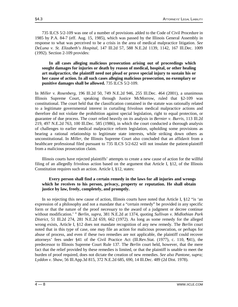735 ILCS 5/2-109 was one of a number of provisions added to the Code of Civil Procedure in 1985 by P.A. 84-7 (eff. Aug. 15, 1985), which was passed by the Illinois General Assembly in response to what was perceived to be a crisis in the area of medical malpractice litigation. *See DeLuna v. St. Elizabeth's Hospital,* 147 Ill.2d 57, 588 N.E.2d 1139, 1142, 167 Ill.Dec. 1009 (1992). Section 2-109 provides:

**In all cases alleging malicious prosecution arising out of proceedings which sought damages for injuries or death by reason of medical, hospital, or other healing art malpractice, the plaintiff need not plead or prove special injury to sustain his or her cause of action. In all such cases alleging malicious prosecution, no exemplary or punitive damages shall be allowed.** 735 ILCS 5/2-109.

In *Miller v. Rosenberg,* 196 Ill.2d 50, 749 N.E.2d 946, 255 Ill.Dec. 464 (2001), a unanimous Illinois Supreme Court, speaking through Justice McMorrow, ruled that §2-109 was constitutional. The court held that the classification contained in the statute was rationally related to a legitimate governmental interest in curtailing frivolous medical malpractice actions and therefore did not violate the prohibition against special legislation, right to equal protection, or guarantee of due process. The court relied heavily on its analysis in *Bernier v. Burris,* 113 Ill.2d 219, 497 N.E.2d 763, 100 Ill.Dec. 585 (1986), in which the court conducted a thorough analysis of challenges to earlier medical malpractice reform legislation, upholding some provisions as bearing a rational relationship to legitimate state interests, while striking down others as unconstitutional. In *Miller,* the Illinois Supreme Court also concluded that an affidavit from a healthcare professional filed pursuant to 735 ILCS 5/2-622 will not insulate the patient-plaintiff from a malicious prosecution claim.

Illinois courts have rejected plaintiffs' attempts to create a new cause of action for the willful filing of an allegedly frivolous action based on the argument that Article I, §12, of the Illinois Constitution requires such an action. Article I, §12, states:

#### **Every person shall find a certain remedy in the laws for all injuries and wrongs which he receives to his person, privacy, property or reputation. He shall obtain justice by law, freely, completely, and promptly.**

In so rejecting this new cause of action, Illinois courts have noted that Article I, §12 "is 'an expression of a philosophy and not a mandate that a "certain remedy" be provided in any specific form or that the nature of the proof necessary to the award of a judgment or decree continue without modification.' " *Berlin, supra,* 381 N.E.2d at 1374, quoting *Sullivan v. Midlothian Park District,* 51 Ill.2d 274, 281 N.E.2d 659, 662 (1972). As long as some remedy for the alleged wrong exists, Article I, §12 does not mandate recognition of any new remedy. The *Berlin* court noted that in this type of case, one may file an action for malicious prosecution, or perhaps for abuse of process, and even if these two remedies are not applicable, the plaintiff could recover attorneys' fees under §41 of the Civil Practice Act (Ill.Rev.Stat. (1977), c. 110, ¶41), the predecessor to Illinois Supreme Court Rule 137. The *Berlin* court held, however, that the mere fact that the relief provided by these remedies is limited, or that the plaintiff is unable to meet the burden of proof required, does not dictate the creation of new remedies. *See also Pantone, supra; Lyddon v. Shaw,* 56 Ill.App.3d 815, 372 N.E.2d 685, 690, 14 Ill.Dec. 489 (2d Dist. 1978).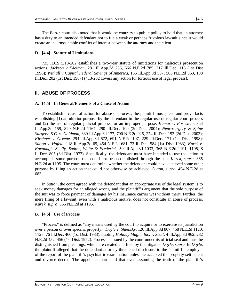The *Berlin* court also noted that it would be contrary to public policy to hold that an attorney has a duty to an intended defendant not to file a weak or perhaps frivolous lawsuit since it would create an insurmountable conflict of interest between the attorney and the client.

#### **D. [4.4] Statute of Limitations**

735 ILCS 5/13-202 establishes a two-year statute of limitations for malicious prosecution actions. *Jackson v Edelman,* 281 Ill.App.3d 256, 666 N.E.2d 785, 217 Ill.Dec. 116 (1st Dist 1996); *Withall v Capital Federal Savings of America,* 155 Ill.App.3d 537, 508 N.E.2d 363, 108 Ill.Dec. 202 (1st Dist. 1987) (§13-202 covers any action for tortious use of legal process).

# **II. ABUSE OF PROCESS**

#### **A. [4.5] In General/Elements of a Cause of Action**

To establish a cause of action for abuse of process, the plaintiff must plead and prove facts establishing (1) an ulterior purpose by the defendant in the regular use of regular court process and (2) the use of regular judicial process for an improper purpose. *Kumar v. Bornstein,* 354 Ill.App.3d 159, 820 N.E.2d 1167, 290 Ill.Dec. 100 (2d Dist. 2004); *Neurosurgery & Spine Surgery, S.C. v. Goldman,* 339 Ill.App.3d 177, 790 N.E.2d 925, 274 Ill.Dec. 152 (2d Dist. 2003); *Kirchner v. Greene,* 294 Ill.App.3d 672, 691 N.E.2d 107, 229 Ill.Dec. 171 (1st Dist. 1998); *Sutton v. Hofeld,* 118 Ill.App.3d 65, 454 N.E.2d 681, 73 Ill.Dec. 584 (1st Dist. 1983); *Kurek v. Kavanagh, Scully, Sudow, White & Frederick,* 50 Ill.App.3d 1033, 365 N.E.2d 1191, 1195, 8 Ill.Dec. 805 (3d Dist. 1977). Specifically, the defendant must have intended to use the action to accomplish some purpose that could not be accomplished through the suit. *Kurek, supra,* 365 N.E.2d at 1195. The court must determine whether the defendant could have achieved some other purpose by filing an action that could not otherwise be achieved. *Sutton, supra,* 454 N.E.2d at 683.

In *Sutton,* the court agreed with the defendant that an appropriate use of the legal system is to seek money damages for an alleged wrong, and the plaintiff's argument that the sole purpose of the suit was to force payment of damages by his insurance carrier was without merit. Further, the mere filing of a lawsuit, even with a malicious motive, does not constitute an abuse of process. *Kurek, supra,* 365 N.E.2d at 1195.

#### **B. [4.6] Use of Process**

"Process" is defined as "any means used by the court to acquire or to exercise its jurisdiction over a person or over specific property." *Doyle v. Shlensky,* 120 Ill.App.3d 807, 458 N.E.2d 1120, 1128, 76 Ill.Dec. 466 (1st Dist. 1983), quoting *Holiday Magic, Inc. v. Scott,* 4 Ill.App.3d 962, 282 N.E.2d 452, 456 (1st Dist. 1972). Process is issued by the court under its official seal and must be distinguished from pleadings, which are created and filed by the litigants. *Doyle, supra.* In *Doyle,* the plaintiff alleged that the defendant-attorney threatened disclosure to the plaintiff's employer of the report of the plaintiff's psychiatric examination unless he accepted the property settlement and divorce decree. The appellate court held that even assuming the truth of the plaintiff's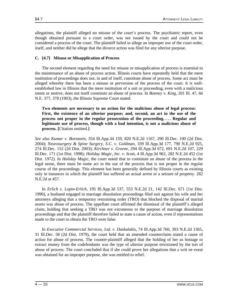allegations, the plaintiff alleged no misuse of the court's process. The psychiatric report, even though obtained pursuant to a court order, was not issued by the court and could not be considered a process of the court. The plaintiff failed to allege an improper use of the court order, itself, and neither did he allege that the divorce action was filed for any ulterior purpose.

#### **C. [4.7] Misuse or Misapplication of Process**

The second element regarding the need for misuse or misapplication of process is essential to the maintenance of an abuse of process action. Illinois courts have repeatedly held that the mere institution of proceedings does not, in and of itself, constitute abuse of process. Some act must be alleged whereby there has been a misuse or perversion of the process of the court. It is wellestablished law in Illinois that the mere institution of a suit or proceeding, even with a malicious intent or motive, does not itself constitute an abuse of process. In *Bonney v. King,* 201 Ill. 47, 66 N.E. 377, 378 (1903), the Illinois Supreme Court stated:

**Two elements are necessary to an action for the malicious abuse of legal process: First, the existence of an ulterior purpose; and, second, an act in the use of the process not proper in the regular prosecution of the proceeding. . . . Regular and legitimate use of process, though with a bad intention, is not a malicious abuse of process. [**Citation omitted.**]**

*See also Kumar v. Bornstein,* 354 Ill.App.3d 159, 820 N.E.2d 1167, 290 Ill.Dec. 100 (2d Dist. 2004); *Neurosurgery & Spine Surgery, S.C. v. Goldman,* 339 Ill.App.3d 177, 790 N.E.2d 925, 274 Ill.Dec. 152 (2d Dist. 2003); *Kirchner v. Greene,* 294 Ill.App.3d 672, 691 N.E.2d 107, 229 Ill.Dec. 171 (1st Dist. 1998); *Holiday Magic, Inc. v. Scott,* 4 Ill.App.3d 962, 282 N.E.2d 452 (1st Dist. 1972). In *Holiday Magic,* the court noted that to constitute an abuse of the process in the legal sense, there must be some act in the use of the process that is not proper in the regular course of the proceedings. This element has been generally defined by Illinois courts as existing only in instances in which the plaintiff has suffered an actual arrest or a seizure of property. 282 N.E.2d at 457.

In *Erlich v. Lopin-Erlich,* 195 Ill.App.3d 537, 553 N.E.2d 21, 142 Ill.Dec. 671 (1st Dist. 1990), a husband engaged in marriage dissolution proceedings filed suit against his wife and her attorneys alleging that a temporary restraining order (TRO) that blocked the disposal of marital assets was abuse of process. The appellate court affirmed the dismissal of the plaintiff's alleged claim, holding that seeking a TRO was not extraneous to the purpose of marriage dissolution proceedings and that the plaintiff therefore failed to state a cause of action, even if representations made to the court to obtain the TRO were false.

In *Executive Commercial Services, Ltd. v. Daskalakis,* 74 Ill.App.3d 760, 393 N.E.2d 1365, 31 Ill.Dec. 58 (2d Dist. 1979), the court held that an amended counterclaim stated a cause of action for abuse of process. The counter-plaintiff alleged that the holding of her as hostage to extract money from the codefendants was the type of ulterior purpose envisioned by the tort of abuse of process. The court concluded that if she could prove her allegations that a writ ne exeat was obtained for an improper purpose, she was entitled to relief.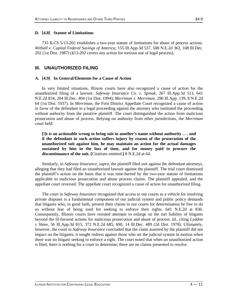#### **D. [4.8] Statute of Limitations**

735 ILCS 5/13-202 establishes a two-year statute of limitations for abuse of process actions. *Withall v. Capital Federal Savings of America,* 155 Ill.App.3d 537, 508 N.E.2d 363, 108 Ill.Dec. 202 (1st Dist. 1987) (§13-202 covers any action for tortious use of legal process).

### **III. UNAUTHORIZED FILING**

#### **A. [4.9] In General/Elements for a Cause of Action**

In very limited situations, Illinois courts have also recognized a cause of action for the unauthorized filing of a lawsuit. *Safeway Insurance Co. v. Spinak,* 267 Ill.App.3d 513, 641 N.E.2d 834, 204 Ill.Dec. 404 (1st Dist. 1994); *Merriman v. Merriman,* 290 Ill.App. 139, 8 N.E.2d 64 (1st Dist. 1937). In *Merriman,* the First District Appellate Court recognized a cause of action in favor of the defendant in a legal proceeding against the attorney who instituted the proceeding without authority from the putative plaintiff. The court distinguished the action from malicious prosecution and abuse of process. Relying on authority from other jurisdictions, the *Merriman*  court held:

**[**I**]t is an actionable wrong to bring suit in another's name without authority . . . and if the defendant in such action suffers injury by reason of the prosecution of the unauthorized suit against him, he may maintain an action for the actual damages sustained by him in the loss of time, and for money paid to procure the discontinuance of the suit. [**Citations omitted.**]** 8 N.E.2d at 64.

Similarly, in *Safeway Insurance, supra,* the plaintiff filed suit against the defendant attorneys, alleging that they had filed an unauthorized lawsuit against the plaintiff. The trial court dismissed the plaintiff's action on the basis that it was time-barred by the two-year statute of limitations applicable to malicious prosecution and abuse process claims. The plaintiff appealed, and the appellate court reversed. The appellate court recognized a cause of action for unauthorized filing.

The court in *Safeway Insurance* recognized that access to our courts as a vehicle for resolving private disputes is a fundamental component of our judicial system and public policy demands that litigants who, in good faith, present their claims to our courts for determination be free to do so without fear of being sued for seeking to enforce their rights. 641 N.E.2d at 836. Consequently, Illinois courts have resisted attempts to enlarge on the tort liability of litigants beyond the ill-favored actions for malicious prosecution and abuse of process. *Id.,* citing *Lyddon v Shaw,* 56 Ill.App.3d 815, 372 N.E.2d 685, 690, 14 Ill.Dec. 489 (2d Dist. 1978). Ultimately, however, the court in *Safeway Insurance* concluded that the claim asserted by the plaintiff did not impact on the litigants; it sought redress against those who set the judicial system in motion when there was no litigant seeking to enforce a right. The court noted that when an unauthorized action is filed, there is nothing for a court to determine; there are no claims presented to resolve.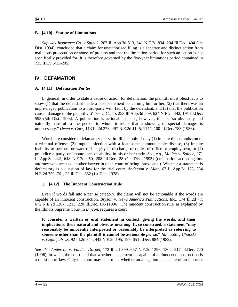#### **B. [4.10] Statute of Limitations**

*Safeway Insurance Co. v Spinak,* 267 Ill.App.3d 513, 641 N.E.2d 834, 204 Ill.Dec. 404 (1st Dist. 1994), concluded that a claim for unauthorized filing is a separate and distinct action from malicious prosecution or abuse of process and that the limitation period for such an action is not specifically provided for. It is therefore governed by the five-year limitations period contained in 735 ILCS 5/13-205.

# **IV. DEFAMATION**

#### **A. [4.11] Defamation Per Se**

In general, in order to state a cause of action for defamation, the plaintiff must plead facts to show (1) that the defendant made a false statement concerning him or her, (2) that there was an unprivileged publication to a third-party with fault by the defendant, and (3) that the publication caused damage to the plaintiff. *Weber v. Cueto,* 253 Ill.App.3d 509, 624 N.E.2d 442, 191 Ill.Dec. 593 (5th Dist. 1993). A publication is actionable per se, however, if it is "so obviously and naturally harmful to the person to whom it refers that a showing of special damages is unnecessary." *Owen v. Carr,* 113 Ill.2d 273, 497 N.E.2d 1145, 1147, 100 Ill.Dec. 783 (1986).

Words are considered defamatory per se in Illinois only if they (1) impute the commission of a criminal offense, (2) impute infection with a loathsome communicable disease, (3) impute inability to perform or want of integrity in discharge of duties of office or employment, or (4) prejudice a party, or impute lack of ability, in his or her trade. *See, e.g., Mullen v. Solber,* 271 Ill.App.3d 442, 648 N.E.2d 950, 208 Ill.Dec. 28 (1st Dist. 1995) (defamation action against attorney who accused another lawyer in open court of being intoxicated). Whether a statement is defamatory is a question of law for the trial court. *Anderson v. Matz,* 67 Ill.App.3d 175, 384 N.E.2d 759, 761, 23 Ill.Dec. 852 (1st Dist. 1978).

#### **1. [4.12] The Innocent Construction Rule**

Even if words fall into a per se category, the claim will not be actionable if the words are capable of an innocent construction. *Bryson v. News America Publications, Inc.,* 174 Ill.2d 77, 672 N.E.2d 1207, 1215, 220 Ill.Dec. 195 (1996). The innocent construction rule, as explained by the Illinois Supreme Court in *Bryson,* requires a court

**to consider a written or oral statement in context, giving the words, and their implications, their natural and obvious meaning. If, so construed, a statement "may reasonably be innocently interpreted or reasonably be interpreted as referring to someone other than the plaintiff it cannot be actionable** *per se.***"** *Id,* quoting *Chapski v. Copley Press,* 92 Ill.2d 344, 442 N.E.2d 195, 199, 65 Ill.Dec. 884 (1982).

*See also Anderson v. Vanden Dorpel,* 172 Ill.2d 399, 667 N.E.2d 1296, 1302, 217 Ill.Dec. 720 (1996), in which the court held that whether a statement is capable of an innocent construction is a question of law. Only the court may determine whether an allegation is capable of an innocent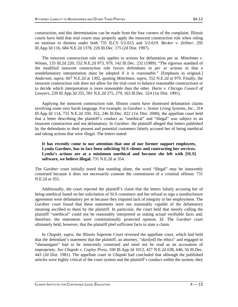construction, and this determination can be made from the four corners of the complaint. Illinois courts have held that trial courts may properly apply the innocent construction rule when ruling on motions to dismiss under both 735 ILCS 5/2-615 and 5/2-619. *Becker v. Zellner,* 292 Ill.App.3d 116, 684 N.E.2d 1378, 226 Ill.Dec. 175 (2d Dist. 1997).

The innocent construction rule only applies to actions for defamation per se. *Mittelman v. Witous,* 135 Ill.2d 220, 552 N.E.2d 973, 979, 142 Ill.Dec. 232 (1989). "The rigorous standard of the modified innocent construction rule favors defendants in *per se* actions in that a nondefamatory interpretation must be adopted if it is *reasonable.*" [Emphasis in original.] *Anderson, supra,* 667 N.E.2d at 1302, quoting *Mittelman, supra,* 552 N.E.2d at 979. Finally, the innocent construction rule does not allow for the trial court to balance reasonable constructions or to decide which interpretation is more reasonable than the other. *Harte v. Chicago Council of Lawyers,* 220 Ill.App.3d 255, 581 N.E.2d 275, 279, 163 Ill.Dec. 324 (1st Dist. 1991).

Applying the innocent construction rule, Illinois courts have dismissed defamation claims involving some very harsh language. For example, in *Gardner v. Senior Living Systems, Inc.,* 314 Ill.App.3d 114, 731 N.E.2d 350, 352, 246 Ill.Dec. 822 (1st Dist. 2000), the appellate court held that a letter describing the plaintiff's conduct as "unethical" and "illegal" was subject to an innocent construction and not defamatory. In *Gardner,* the plaintiff alleged that letters published by the defendants to their present and potential customers falsely accused her of being unethical and taking actions that were illegal. The letters stated:

#### **It has recently come to our attention that one of our former support employees, Lynda Gardner, has in fact been soliciting SLS clients and contracting her services. Lynda's actions are at a minimum unethical and because she left with [SLS] software, we believe illegal.** 731 N.E.2d at 354*.*

The *Gardner* court initially noted that standing alone, the word "illegal" may be innocently construed because it does not necessarily connote the commission of a criminal offense. 731 N.E.2d at 355.

Additionally, the court rejected the plaintiff's claim that the letters falsely accusing her of being unethical based on her solicitation of SLS customers and her refusal to sign a nondisclosure agreement were defamatory per se because they imputed lack of integrity in her employment. The *Gardner* court found that these statements were not reasonably capable of the defamatory meaning ascribed to them by the plaintiff. In particular, the court held that merely calling the plaintiff "unethical" could not be reasonably interpreted as stating actual verifiable facts and, therefore, the statements were constitutionally protected opinion. *Id.* The *Gardner* court ultimately held, however, that the plaintiff pled sufficient facts to state a claim.

In *Chapski, supra,* the Illinois Supreme Court reversed the appellate court, which had held that the defendant's statement that the plaintiff, an attorney, "skirt[ed] the ethics" and engaged in "shenanigans" had to be innocently construed and need not be read as an accusation of impropriety. *See Chapski v. Copley Press,* 100 Ill.App.3d 1012, 427 N.E.2d 638, 640, 56 Ill.Dec. 443 (2d Dist. 1981). The appellate court in *Chapski* had concluded that although the published articles were highly critical of the court system and the plaintiff's conduct within the system, they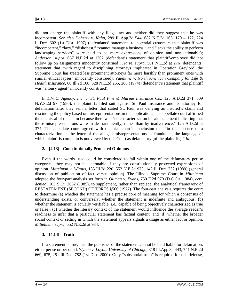did not charge the plaintiff with any illegal act and neither did they suggest that he was incompetent. *See also Doherty v. Kahn,* 289 Ill.App.3d 544, 682 N.E.2d 163, 170 – 172, 224 Ill.Dec. 602 (1st Dist. 1997) (defendants' statements to potential customers that plaintiff was "incompetent," "lazy," "dishonest," "cannot manage a business," and "lacks the ability to perform landscaping services" were held to be mere expressions of opinion and non-actionable); *Anderson, supra,* 667 N.E.2d at 1302 (defendant's statement that plaintiff-employee did not follow up on assignments innocently construed); *Harte, supra,* 581 N.E.2d at 276 (defendants' statement that "with regard to disciplining attorneys implicated in Operation Greylord, the Supreme Court has treated less prominent attorneys far more harshly than prominent ones with similar ethical lapses" innocently construed); *Valentine v. North American Company for Life & Health Insurance,* 60 Ill.2d 168, 328 N.E.2d 265, 266 (1974) (defendant's statement that plaintiff was "a lousy agent" innocently construed).

In *L.W.C. Agency, Inc. v. St. Paul Fire & Marine Insurance Co.,* 125 A.D.2d 371, 509 N.Y.S.2d 97 (1986), the plaintiffs filed suit against St. Paul Insurance and its attorney for defamation after they sent a letter that stated St. Paul was denying an insured's claim and rescinding the policy based on misrepresentations in the application. The appellate court affirmed the dismissal of the claim because there was "no characterization in said statement indicating that those misrepresentations were made fraudulently, rather than by inadvertence." 125 A.D.2d at 374. The appellate court agreed with the trial court's conclusion that "in the absence of a characterization in the letter of the alleged misrepresentations as fraudulent, the language of which plaintiffs complain is not viewed by this Court as defamatory [of the plaintiffs]." *Id.*

# **2. [4.13] Constitutionally Protected Opinions**

Even if the words used could be considered to fall within one of the defamatory per se categories, they may not be actionable if they are constitutionally protected expressions of opinion. *Mittelman v. Witous,* 135 Ill.2d 220, 552 N.E.2d 973, 142 Ill.Dec. 232 (1989) (general discussion of publication of fact versus opinion). The Illinois Supreme Court in *Mittelman*  adopted the four-part analysis set forth in *Ollman v. Evans,* 750 F.2d 970 (D.C.Cir. 1984), *cert. denied,* 105 S.Ct. 2662 (1985), to supplement, rather than replace, the analytical framework of RESTATEMENT (SECOND) OF TORTS §566 (1977). The four-part analysis requires the court to determine (a) whether the statement has a precise core of meaning for which a consensus of understanding exists, or conversely, whether the statement is indefinite and ambiguous; (b) whether the statement is actually verifiable (*i.e.,* capable of being objectively characterized as true or false); (c) whether the literary context of the statement would influence the average reader's readiness to infer that a particular statement has factual content; and (d) whether the broader social context or setting in which the statement appears signals a usage as either fact or opinion. *Mittelman, supra,* 552 N.E.2d at 984.

# **3. [4.14] Truth**

If a statement is true, then the publisher of the statement cannot be held liable for defamation, either per se or per quod. *Wynne v. Loyola University of Chicago,* 318 Ill.App.3d 443, 741 N.E.2d 669, 675, 251 Ill.Dec. 782 (1st Dist. 2000). Only "substantial truth" is required for this defense,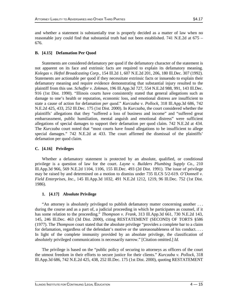and whether a statement is substantially true is properly decided as a matter of law when no reasonable jury could find that substantial truth had not been established. 741 N.E.2d at 675 – 676.

#### **B. [4.15] Defamation Per Quod**

Statements are considered defamatory per quod if the defamatory character of the statement is not apparent on its face and extrinsic facts are required to explain its defamatory meaning. *Kolegas v. Heftel Broadcasting Corp.,* 154 Ill.2d 1, 607 N.E.2d 201, 206, 180 Ill.Dec. 307 (1992). Statements are actionable per quod if they necessitate extrinsic facts or innuendo to explain their defamatory meaning and require evidence demonstrating that substantial injury resulted to the plaintiff from this use. *Schaffer v. Zekman,* 196 Ill.App.3d 727, 554 N.E.2d 988, 991, 143 Ill.Dec. 916 (1st Dist. 1990). "Illinois courts have consistently stated that general allegations such as damage to one's health or reputation, economic loss, and emotional distress are insufficient to state a cause of action for defamation *per quod*." *Kurczaba v. Pollock,* 318 Ill.App.3d 686, 742 N.E.2d 425, 433, 252 Ill.Dec. 175 (1st Dist. 2000). In *Kurczaba,* the court considered whether the plaintiffs' allegations that they "suffered a loss of business and income" and "suffered great embarrassment, public humiliation, mental anguish and emotional distress" were sufficient allegations of special damages to support their defamation per quod claim. 742 N.E.2d at 434. The *Kurczaba* court noted that "most courts have found allegations to be insufficient to allege special damages." 742 N.E.2d at 433. The court affirmed the dismissal of the plaintiffs' defamation per quod claim.

#### **C. [4.16] Privileges**

Whether a defamatory statement is protected by an absolute, qualified, or conditional privilege is a question of law for the court. *Layne v. Builders Plumbing Supply Co.,* 210 Ill.App.3d 966, 569 N.E.2d 1104, 1106, 155 Ill.Dec. 493 (2d Dist. 1991). The issue of privilege may be raised by and determined on a motion to dismiss under 735 ILCS 5/2-619. *O'Donnell v. Field Enterprises, Inc.,* 145 Ill.App.3d 1032, 491 N.E.2d 1212, 1219, 96 Ill.Dec. 752 (1st Dist. 1986).

# **1. [4.17] Absolute Privilege**

"An attorney is absolutely privileged to publish defamatory matter concerning another . . . during the course and as a part of, a judicial proceeding in which he participates as counsel, if it has some relation to the proceeding." *Thompson v. Frank,* 313 Ill.App.3d 661, 730 N.E.2d 143, 145, 246 Ill.Dec. 463 (3d Dist. 2000), citing RESTATEMENT (SECOND) OF TORTS §586 (1977). The *Thompson* court stated that the absolute privilege "provides a complete bar to a claim for defamation, regardless of the defendant's motive or the unreasonableness of his conduct. . . . In light of the complete immunity provided by an absolute privilege, the classification of absolutely privileged communications is necessarily narrow." [Citation omitted.] *Id.*

The privilege is based on the "public policy of securing to attorneys as officers of the court the utmost freedom in their efforts to secure justice for their clients." *Kurczaba v. Pollock,* 318 Ill.App.3d 686, 742 N.E.2d 425, 438, 252 Ill.Dec. 175 (1st Dist. 2000), quoting RESTATEMENT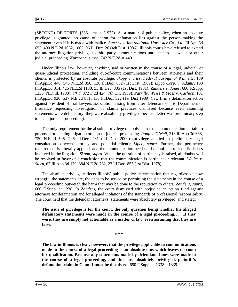(SECOND) OF TORTS §586, cmt. a (1977). As a matter of public policy, when an absolute privilege is granted, no cause of action for defamation lies against the person making the statement, even if it is made with malice. *Starnes v. International Harvester Co.,* 141 Ill.App.3d 652, 490 N.E.2d 1062, 1063, 96 Ill.Dec. 26 (4th Dist. 1986). Illinois courts have refused to extend the attorney litigation privilege to third-party communications unrelated to a lawsuit or other judicial proceeding. *Kurczaba, supra,* 742 N.E.2d at 440.

Under Illinois law, however, anything said or written in the course of a legal, judicial, or quasi-judicial proceeding, including out-of-court communications between attorneys and their clients, is protected by an absolute privilege. *Skopp v. First Federal Savings of Wilmette,* 189 Ill.App.3d 440, 545 N.E.2d 356, 136 Ill.Dec. 832 (1st Dist. 1989); *Lipco Corp. v. Adams,* 100 Ill.App.3d 314, 426 N.E.2d 1130, 55 Ill.Dec. 805 (1st Dist. 1981); *Zanders v. Jones,* 680 F.Supp. 1236 (N.D.Ill. 1988), *aff'd,* 872 F.2d 424 (7th Cir. 1989); *Parrillo, Weiss & Moss v. Cashion,* 181 Ill.App.3d 920, 537 N.E.2d 851, 130 Ill.Dec. 522 (1st Dist 1989) (law firm's defamation action against president of trial lawyers association arising from letter defendant sent to Department of Insurance requesting investigation of claims practices dismissed because even assuming statements were defamatory, they were absolutely privileged because letter was preliminary step to quasi-judicial proceeding).

The only requirement for the absolute privilege to apply is that the communication pertain to proposed or pending litigation or a quasi-judicial proceeding. *Popp v. O'Neil,* 313 Ill.App.3d 638, 730 N.E.2d 506, 246 Ill.Dec. 481 (2d Dist. 2000) (privilege applied to preliminary legal consultation between attorney and potential client); *Lipco, supra.* Further, the pertinency requirement is liberally applied, and the communication need not be confined to specific issues involved in the litigation. *Skopp, supra.* When the question of pertinency is raised, all doubts will be resolved in favor of a conclusion that the communication is pertinent or relevant. *Weiler v. Stern,* 67 Ill.App.3d 179, 384 N.E.2d 762, 23 Ill.Dec. 855 (1st Dist. 1978).

The absolute privilege reflects Illinois' public policy determination that regardless of how wrongful the statements are, the ends to be served by permitting the statements in the course of a legal proceeding outweigh the harm that may be done to the reputation to others. *Zanders, supra,*  680 F.Supp. at 1238. In *Zanders,* the court dismissed with prejudice an action filed against attorneys for defamation and for alleged violations of the standards of professional responsibility. The court held that the defendant attorneys' statements were absolutely privileged, and stated:

**The issue of privilege is for the court, the only question being whether the alleged defamatory statements were made in the course of a legal proceeding. . . . If they were, they are simply not actionable as a matter of law, even assuming that they are false.**

**\* \* \***

**The law in Illinois is clear, however, that the privilege applicable to communications made in the course of a legal proceeding is an absolute one, which leaves no room for qualification. Because any statements made by defendant Jones were made in the course of a legal proceeding, and thus are absolutely privileged, plaintiff's defamation claim in Count I must be dismissed.** 680 F.Supp. at 1338 – 1339.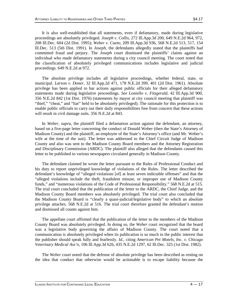proceedings are absolutely privileged. *Joseph v. Collis,* 272 Ill.App.3d 200, 649 N.E.2d 964, 972, 208 Ill.Dec. 604 (2d Dist. 1995); *Weber v. Cueto,* 209 Ill.App.3d 936, 568 N.E.2d 513, 517, 154 Ill.Dec. 513 (5th Dist. 1991). In *Joseph,* the defendants allegedly stated that the plaintiffs had committed fraud and perjury. The *Joseph* court dismissed the plaintiffs' claims against an individual who made defamatory statements during a city council meeting. The court noted that the classification of absolutely privileged communications includes legislative and judicial proceedings. 649 N.E.2d at 972.

The absolute privilege includes all legislative proceedings, whether federal, state, or municipal. *Larson v. Doner,* 32 Ill.App.2d 471, 178 N.E.2d 399, 401 (2d Dist. 1961). Absolute privilege has been applied to bar actions against public officials for their alleged defamatory statements made during legislative proceedings. *See Loniello v. Fitzgerald,* 42 Ill.App.3d 900, 356 N.E.2d 842 (1st Dist. 1976) (statements by mayor at city council meeting that plaintiff was "thief," "cheat," and "liar" held to be absolutely privileged). The rationale for this protection is to enable public officials to carry out their daily responsibilities free from concern that these actions will result in civil damage suits. 356 N.E.2d at 843.

In *Weber, supra,* the plaintiff filed a defamation action against the defendant, an attorney, based on a five-page letter concerning the conduct of Donald Weber (then the State's Attorney of Madison County) and the plaintiff, an employee of the State's Attorney's office (and Mr. Weber's wife at the time of the suit). The letter was addressed to the Chief Circuit Judge of Madison County and also was sent to the Madison County Board members and the Attorney Registration and Disciplinary Commission (ARDC). The plaintiff also alleged that the defendants caused this letter to be published to various newspapers circulated generally in Madison County.

The defendant claimed he wrote the letter pursuant to the Rules of Professional Conduct and his duty to report unprivileged knowledge of violations of the Rules. The letter described the defendant's knowledge of "alleged violations [of] at least seven indictable offenses" and that the "alleged violations include the theft, fraudulent misuse, or improper use of Madison County funds," and "numerous violations of the Code of Professional Responsibility." 568 N.E.2d at 515. The trial court concluded that the publication of the letter to the ARDC, the Chief Judge, and the Madison County Board members was absolutely privileged. The trial court also concluded that the Madison County Board is "clearly a quasi-judicial/legislative body" to which an absolute privilege attaches. 568 N.E.2d at 516. The trial court therefore granted the defendant's motion and dismissed all counts against him.

The appellate court affirmed that the publication of the letter to the members of the Madison County Board was absolutely privileged. In doing so, the *Weber* court recognized that the board was a legislative body governing the affairs of Madison County. The court noted that a communication is absolutely privileged when its publication is so much in the public interest that the publisher should speak fully and fearlessly. *Id.,* citing *American Pet Motels, Inc. v. Chicago Veterinary Medical Ass'n,* 106 Ill.App.3d 626, 435 N.E.2d 1297, 62 Ill.Dec. 325 (1st Dist. 1982).

The *Weber* court noted that the defense of absolute privilege has been described as resting on the idea that conduct that otherwise would be actionable is to escape liability because the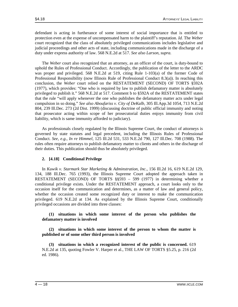defendant is acting in furtherance of some interest of social importance that is entitled to protection even at the expense of uncompensated harm to the plaintiff's reputation. *Id.* The *Weber*  court recognized that the class of absolutely privileged communications includes legislative and judicial proceedings and other acts of state, including communications made in the discharge of a duty under express authority of law. 568 N.E.2d at 517. *See also Larson, supra.*

The *Weber* court also recognized that an attorney, as an officer of the court, is duty-bound to uphold the Rules of Professional Conduct. Accordingly, the publication of the letter to the ARDC was proper and privileged. 568 N.E.2d at 519, citing Rule 1-103(a) of the former Code of Professional Responsibility (now Illinois Rule of Professional Conduct 8.3(a)). In reaching this conclusion, the *Weber* court relied on the RESTATEMENT (SECOND) OF TORTS §592A (1977), which provides: "One who is required by law to publish defamatory matter is absolutely privileged to publish it." 568 N.E.2d at 517. Comment b to §592A of the RESTATEMENT states that the rule "will apply whenever the one who publishes the defamatory matter acts under legal compulsion in so doing." *See also Aboufariss v. City of DeKalb,* 305 Ill.App.3d 1054, 713 N.E.2d 804, 239 Ill.Dec. 273 (2d Dist. 1999) (discussing doctrine of public official immunity and noting that prosecutor acting within scope of her prosecutorial duties enjoys immunity from civil liability, which is same immunity afforded to judiciary).

As professionals closely regulated by the Illinois Supreme Court, the conduct of attorneys is governed by state statutes and legal precedent, including the Illinois Rules of Professional Conduct. *See, e.g., In re Himmel,* 125 Ill.2d 531, 533 N.E.2d 790, 127 Ill.Dec. 708 (1988). The rules often require attorneys to publish defamatory matter to clients and others in the discharge of their duties. This publication should thus be absolutely privileged.

#### **2. [4.18] Conditional Privilege**

In *Kuwik v. Starmark Star Marketing & Adminstration, Inc.,* 156 Ill.2d 16, 619 N.E.2d 129, 134, 188 Ill.Dec. 765 (1993), the Illinois Supreme Court adopted the approach taken in RESTATEMENT (SECOND) OF TORTS §§593 – 599 (1977) in determining whether a conditional privilege exists. Under the RESTATEMENT approach, a court looks only to the occasion itself for the communication and determines, as a matter of law and general policy, whether the occasion created some recognized duty or interest to make the communication privileged. 619 N.E.2d at 134. As explained by the Illinois Supreme Court, conditionally privileged occasions are divided into three classes:

#### **(1) situations in which some interest of the person who publishes the defamatory matter is involved**

**(2) situations in which some interest of the person to whom the matter is published or of some other third person is involved**

**(3) situations in which a recognized interest of the public is concerned.** 619 N.E.2d at 135, quoting Fowler V. Harper et al., THE LAW OF TORTS §5.25, p. 216 (2d ed. 1986).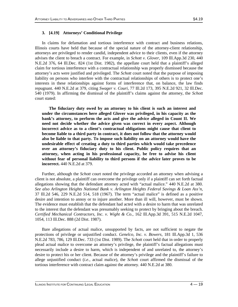#### **3. [4.19] Attorneys' Conditional Privilege**

In claims for defamation and tortious interference with contract and business relations, Illinois courts have held that because of the special nature of the attorney-client relationship, attorneys are privileged to render candid, independent advice to their clients, even if the attorney advises the client to breach a contract. For example, in *Schott v. Glover,* 109 Ill.App.3d 230, 440 N.E.2d 376, 64 Ill.Dec. 824 (1st Dist. 1982), the appellate court held that a plaintiff's alleged claim for tortious interference with a contractual relationship was properly dismissed because the attorney's acts were justified and privileged. The *Schott* court noted that the purpose of imposing liability on persons who interfere with the contractual relationships of others is to protect one's interests in these relationships against forms of interference that, on balance, the law finds repugnant. 440 N.E.2d at 379, citing *Swager v. Couri,* 77 Ill.2d 173, 395 N.E.2d 921, 32 Ill.Dec. 540 (1979). In affirming the dismissal of the plaintiff's claims against the attorney, the *Schott*  court stated:

**The fiduciary duty owed by an attorney to his client is such an interest and under the circumstances here alleged Glover was privileged, in his capacity as the bank's attorney, to perform the acts and give the advice alleged in Count II. We need not decide whether the advice given was correct in every aspect. Although incorrect advice as to a client's contractual obligations might cause that client to become liable to a third party in contract, it does not follow that the attorney would also be liable to that party. To impose such liability on an attorney would have the undesirable effect of creating a duty to third parties which would take precedence over an attorney's fiduciary duty to his client. Public policy requires that an attorney, when acting in his professional capacity, be free to advise his client without fear of personal liability to third persons if the advice later proves to be incorrect.** 440 N.E.2d at 379.

Further, although the *Schott* court noted the privilege accorded an attorney when advising a client is not absolute, a plaintiff can overcome the privilege only if a plaintiff can set forth factual allegations showing that the defendant attorney acted with "actual malice." 440 N.E.2d at 380. *See also Arlington Heights National Bank v. Arlington Heights Federal Savings & Loan Ass'n,* 37 Ill.2d 546, 229 N.E.2d 514, 518 (1967). The term "actual malice" is defined as a positive desire and intention to annoy or to injure another. More than ill will, however, must be shown. The evidence must establish that the defendant had acted with a desire to harm that was unrelated to the interest that the defendant was presumably seeking to protect by bringing about the breach. *Certified Mechanical Contractors, Inc. v. Wight & Co.,* 162 Ill.App.3d 391, 515 N.E.2d 1047, 1054, 113 Ill.Dec. 888 (2d Dist. 1987).

Bare allegations of actual malice, unsupported by facts, are not sufficient to negate the protections of privilege or unjustified conduct. *Genelco, Inc. v. Bowers,* 181 Ill.App.3d 1, 536 N.E.2d 783, 786, 129 Ill.Dec. 733 (1st Dist. 1989). The *Schott* court held that in order to properly plead actual malice to overcome an attorney's privilege, the plaintiff's factual allegations must necessarily include a desire to harm, which is independent of and unrelated to, the attorney's desire to protect his or her client. Because of the attorney's privilege and the plaintiff's failure to allege unjustified conduct (*i.e.,* actual malice), the *Schott* court affirmed the dismissal of the tortious interference with contract claim against the attorney. 440 N.E.2d at 380.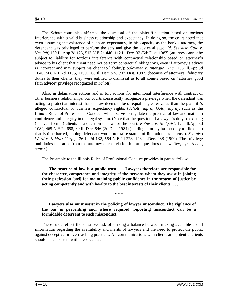The *Schott* court also affirmed the dismissal of the plaintiff's action based on tortious interference with a valid business relationship and expectancy. In doing so, the court noted that even assuming the existence of such an expectancy, in his capacity as the bank's attorney, the defendant was privileged to perform the acts and give the advice alleged. *Id. See also Gold v. Vasileff,* 160 Ill.App.3d 125, 513 N.E.2d 446, 112 Ill.Dec. 32 (5th Dist. 1987) (attorney cannot be subject to liability for tortious interference with contractual relationship based on attorney's advice to his client that client need not perform contractual obligations, even if attorney's advice is incorrect and may subject his client to liability); *Salaymeh v. Interqual, Inc.,* 155 Ill.App.3d 1040, 508 N.E.2d 1155, 1159, 108 Ill.Dec. 578 (5th Dist. 1987) (because of attorneys' fiduciary duties to their clients, they were entitled to dismissal as to all counts based on "attorney good faith advice" privilege recognized in *Schott*).

Also, in defamation actions and in tort actions for intentional interference with contract or other business relationships, our courts consistently recognize a privilege when the defendant was acting to protect an interest that the law deems to be of equal or greater value than the plaintiff's alleged contractual or business expectancy rights. (*Schott, supra; Gold, supra*), such as the Illinois Rules of Professional Conduct, which serve to regulate the practice of law and maintain confidence and integrity in the legal system. (Note that the question of a lawyer's duty to existing (or even former) clients is a question of law for the court. *Roberts v. Heilgeist*, 124 Ill.App.3d 1082, 465 N.E.2d 658, 80 Ill.Dec. 546 (2d Dist. 1984) (holding attorney has no duty to file claim that is time-barred, hoping defendant would not raise statute of limitations as defense). *See also Ward v. K Mart Corp.,* 136 Ill.2d 132, 554 N.E.2d 223, 143 Ill.Dec. 288 (1990). The privilege and duties that arise from the attorney-client relationship are questions of law. *See, e.g., Schott, supra.*)

The Preamble to the Illinois Rules of Professional Conduct provides in part as follows:

**The practice of law is a public trust. . . . Lawyers therefore are responsible for the character, competence and integrity of the persons whom they assist in joining their profession [**and**] for maintaining public confidence in the system of justice by acting competently and with loyalty to the best interests of their clients. . . .**

**\* \* \***

**Lawyers also must assist in the policing of lawyer misconduct. The vigilance of the bar in preventing and, where required, reporting misconduct can be a formidable deterrent to such misconduct.**

These rules reflect the sensitive task of striking a balance between making available useful information regarding the availability and merits of lawyers and the need to protect the public against deceptive or overreaching practices. All communications with clients and potential clients should be consistent with these values.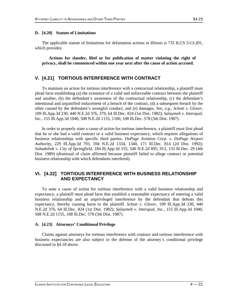The applicable statute of limitations for defamation actions in Illinois is 735 ILCS 5/13-201, which provides:

**Actions for slander, libel or for publication of matter violating the right of privacy, shall be commenced within one year next after the cause of action accrued.**

# **V. [4.21] TORTIOUS INTERFERENCE WITH CONTRACT**

To maintain an action for tortious interference with a contractual relationship, a plaintiff must plead facts establishing (a) the existence of a valid and enforceable contract between the plaintiff and another, (b) the defendant's awareness of the contractual relationship, (c) the defendant's intentional and unjustified inducement of a breach of the contract, (d) a subsequent breach by the other caused by the defendant's wrongful conduct, and (e) damages. *See, e.g., Schott v. Glover,* 109 Ill.App.3d 230, 440 N.E.2d 376, 379, 64 Ill.Dec. 824 (1st Dist. 1982); *Salaymeh v. Interqual, Inc.,* 155 Ill.App.3d 1040, 508 N.E.2d 1155, 1160, 108 Ill.Dec. 578 (5th Dist. 1987).

In order to properly state a cause of action for tortious interference, a plaintiff must first plead that he or she had a valid contract or a valid business expectancy, which requires allegations of business relationships with specific third parties. *DuPage Aviation Corp. v. DuPage Airport Authority,* 229 Ill.App.3d 793, 594 N.E.2d 1334, 1340, 171 Ill.Dec. 814 (2d Dist. 1992); *Suhadolnik v. City of Springfield,* 184 Ill.App.3d 155, 540 N.E.2d 895, 912, 133 Ill.Dec. 29 (4th Dist. 1989) (dismissal of claim affirmed because plaintiff failed to allege contract or potential business relationship with which defendants interfered).

# **VI. [4.22] TORTIOUS INTERFERENCE WITH BUSINESS RELATIONSHIP AND EXPECTANCY**

To state a cause of action for tortious interference with a valid business relationship and expectancy, a plaintiff must plead facts that establish a reasonable expectancy of entering a valid business relationship and an unprivileged interference by the defendant that defeats this expectancy, thereby causing harm to the plaintiff. *Schott v. Glover,* 109 Ill.App.3d 230, 440 N.E.2d 376, 64 Ill.Dec. 824 (1st Dist. 1982); *Salaymeh v. Interqual, Inc.,* 155 Ill.App.3d 1040, 508 N.E.2d 1155, 108 Ill.Dec. 578 (5th Dist. 1987).

#### **A. [4.23] Attorneys' Conditional Privilege**

Claims against attorneys for tortious interference with contract and tortious interference with business expectancies are also subject to the defense of the attorney's conditional privilege discussed in §4.18 above.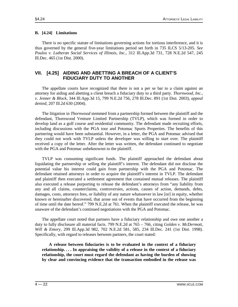#### **B. [4.24] Limitations**

There is no specific statute of limitations governing actions for tortious interference, and it is thus governed by the general five-year limitations period set forth in 735 ILCS 5/13-205. *See Poulos v. Lutheran Social Services of Illinois, Inc.,* 312 Ill.App.3d 731, 728 N.E.2d 547, 245 Ill.Dec. 465 (1st Dist. 2000).

#### **VII. [4.25] AIDING AND ABETTING A BREACH OF A CLIENT'S FIDUCIARY DUTY TO ANOTHER**

The appellate courts have recognized that there is not a per se bar to a claim against an attorney for aiding and abetting a client breach a fiduciary duty to a third party. *Thornwood, Inc., v. Jenner & Block,* 344 Ill.App.3d 15, 799 N.E.2d 756, 278 Ill.Dec. 891 (1st Dist. 2003), *appeal denied,* 207 Ill.2d 630 (2004).

The litigation in *Thornwood* stemmed from a partnership formed between the plaintiff and the defendant, Thornwood Venture Limited Partnership (TVLP), which was formed in order to develop land as a golf course and residential community. The defendant made recruiting efforts, including discussions with the PGA tour and Potomac Sports Properties. The benefits of this partnering would have been substantial. However, in a letter, the PGA and Potomac advised that they could not work with TVLP unless the developer was willing to start over. The plaintiff received a copy of the letter. After the letter was written, the defendant continued to negotiate with the PGA and Potomac unbeknownst to the plaintiff.

TVLP was consuming significant funds. The plaintiff approached the defendant about liquidating the partnership or selling the plaintiff's interest. The defendant did not disclose the potential value his interest could gain from partnership with the PGA and Potomac. The defendant retained attorneys in order to acquire the plaintiff's interest in TVLP. The defendant and plaintiff then executed a settlement agreement that contained mutual releases. The plaintiff also executed a release purporting to release the defendant's attorneys from "any liability from any and all claims, counterclaims, controversies, actions, causes of action, demands, debts, damages, costs, attorneys fees, or liability of any nature whatsoever in law [or] in equity, whether known or hereinafter discovered, that arose out of events that have occurred from the beginning of time until the date hereof." 799 N.E.2d at 761. When the plaintiff executed the release, he was unaware of the defendant's continued negotiations with the PGA and Potomac.

The appellate court noted that partners have a fiduciary relationship and owe one another a duty to fully disclosure all material facts. 799 N.E.2d at 765 – 766, citing *Golden v. McDermott, Will & Emory,* 299 Ill.App.3d 982, 702 N.E.2d 581, 585, 234 Ill.Dec. 241 (1st Dist. 1998). Specifically, with regard to releases between partners, the court stated:

**A release between fiduciaries is to be evaluated in the context of a fiduciary relationship. . . . In appraising the validity of a release in the context of a fiduciary relationship, the court must regard the defendant as having the burden of showing by clear and convincing evidence that the transaction embodied in the release was**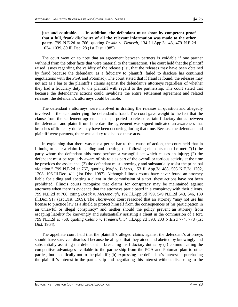**just and equitable. . . . In addition, the defendant must show by competent proof that a full, frank disclosure of all the relevant information was made to the other party.** 799 N.E.2d at 766, quoting *Peskin v. Deutsch,* 134 Ill.App.3d 48, 479 N.E.2d 1034, 1039, 89 Ill.Dec. 28 (1st Dist. 1985).

The court went on to note that an agreement between partners is voidable if one partner withheld from the other facts that were material to the transaction. The court held that the plaintiff raised issues regarding the validity of the release (*i.e.,* that the releases may have been obtained by fraud because the defendant, as a fiduciary to plaintiff, failed to disclose his continued negotiations with the PGA and Potomac). The court stated that if fraud is found, the releases may not act as a bar to the plaintiff's claims against the defendant's attorneys regardless of whether they had a fiduciary duty to the plaintiff with regard to the partnership. The court stated that because the defendant's actions could invalidate the entire settlement agreement and related releases, the defendant's attorneys could be liable.

The defendant's attorneys were involved in drafting the releases in question and allegedly involved in the acts underlying the defendant's fraud. The court gave weight to the fact that the clause from the settlement agreement that purported to release certain fiduciary duties between the defendant and plaintiff until the date the agreement was signed indicated an awareness that breaches of fiduciary duties may have been occurring during that time. Because the defendant and plaintiff were partners, there was a duty to disclose these acts.

In explaining that there was not a per se bar to this cause of action, the court held that in Illinois, to state a claim for aiding and abetting, the following elements must be met:  $"(1)$  the party whom the defendant aids must perform a wrongful act which causes an injury; (2) the defendant must be regularly aware of his role as part of the overall or tortious activity at the time he provides the assistance; (3) the defendant must knowingly and substantially assist the principal violation." 799 N.E.2d at 767, quoting *Wolf v. Liberis,* 153 Ill.App.3d 488, 505 N.E.2d 1202, 1208, 106 Ill.Dec. 411 (1st Dist. 1987). Although Illinois courts have never found an attorney liable for aiding and abetting a client in the commission of a tort, these actions have not been prohibited. Illinois courts recognize that claims for conspiracy may be maintained against attorneys when there is evidence that the attorneys participated in a conspiracy with their clients. 799 N.E.2d at 768, citing *Bosak v. McDonough,* 192 Ill.App.3d 799, 549 N.E.2d 643, 646, 139 Ill.Dec. 917 (1st Dist. 1989). The *Thornwood* court reasoned that an attorney "may not use his license to practice law as a shield to protect himself from the consequences of his participation in an unlawful or illegal conspiracy" and neither should the policy prevent an attorney from escaping liability for knowingly and substantially assisting a client in the commission of a tort. 799 N.E.2d at 768, quoting *Celano v. Frederick,* 54 Ill.App.2d 393, 203 N.E.2d 774, 778 (1st Dist. 1964).

The appellate court held that the plaintiff's alleged claims against the defendant's attorneys should have survived dismissal because he alleged that they aided and abetted by knowingly and substantially assisting the defendant in breaching his fiduciary duties by (a) communicating the competitive advantages available to the partnership from the PGA and Potomac plan to other parties, but specifically not to the plaintiff; (b) expressing the defendant's interest in purchasing the plaintiff's interest in the partnership and negotiating this interest without disclosing to the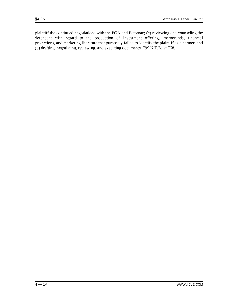plaintiff the continued negotiations with the PGA and Potomac; (c) reviewing and counseling the defendant with regard to the production of investment offerings memoranda, financial projections, and marketing literature that purposely failed to identify the plaintiff as a partner; and (d) drafting, negotiating, reviewing, and executing documents. 799 N.E.2d at 768.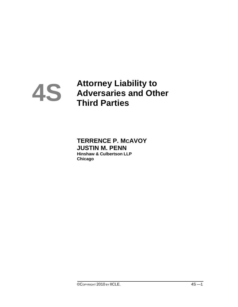# **Attorney Liability to Adversaries and Other Third Parties 4S**

**TERRENCE P. MCAVOY JUSTIN M. PENN Hinshaw & Culbertson LLP Chicago**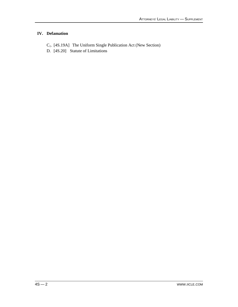#### **IV. Defamation**

- C1. [4S.19A] The Uniform Single Publication Act (New Section)
- D. [4S.20] Statute of Limitations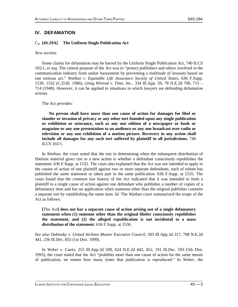# **IV. DEFAMATION**

#### C**1. [4S.19A] The Uniform Single Publication Act**

#### *New section:*

Some claims for defamation may be barred by the Uniform Single Publication Act, 740 ILCS 165/1, *et seq.* The central purpose of the Act was to "protect publishers and others involved in the communication industry from undue harassment by preventing a multitude of lawsuits based on one tortious act." *Wathan v. Equitable Life Assurance Society of United States,* 636 F.Supp. 1530, 1532 (C.D.Ill. 1986), citing *Winrod v. Time, Inc.,* 334 Ill.App. 59, 78 N.E.2d 708, 713 – 714 (1948). However, it can be applied to situations in which lawyers are defending defamation actions.

#### The Act provides:

**No person shall have more than one cause of action for damages for libel or slander or invasion of privacy or any other tort founded upon any single publication or exhibition or utterance, such as any one edition of a newspaper or book or magazine or any one presentation to an audience or any one broadcast over radio or television or any one exhibition of a motion picture. Recovery in any action shall include all damages for any such tort suffered by plaintiff in all jurisdictions.** 740 ILCS 165/1.

In *Wathan,* the court noted that the test in determining when the subsequent distribution of libelous material gives rise to a new action is whether a defendant consciously republishes the statement. 636 F.Supp. at 1532. The court also explained that the Act was not intended to apply to the causes of action of one plaintiff against two or more separate defendants, each of whom has published the same statement or taken part in the same publication. 636 F.Supp. at 1535. The court found that the common law history of the Act indicated that it was intended to limit a plaintiff to a single cause of action against one defendant who publishes a number of copies of a defamatory item and has no application when someone other than the original publisher commits a separate tort by republishing the same item. *Id.* The *Wathan* court summarized the scope of the Act as follows:

#### **[**The Act**] does not bar a separate cause of action arising out of a single defamatory statement when (1) someone other than the original libeler consciously republishes the statement, and (2) the alleged republication is not incidental to a mass distribution of the statement.** 636 F.Supp. at 1536.

*See also Dubinsky v. United Airlines Master Executive Council,* 303 Ill.App.3d 317, 708 N.E.2d 441, 236 Ill.Dec. 855 (1st Dist. 1999).

In *Weber v. Cueto,* 253 Ill.App.3d 509, 624 N.E.2d 442, 452, 191 Ill.Dec. 593 (5th Dist. 1993), the court stated that the Act "prohibits more than one cause of action for the same means of publication, no matter how many times that publication is reproduced." In *Weber,* the